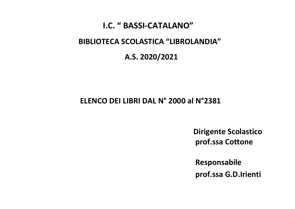## I.C. " BASSI-CATALANO"

## BIBLIOTECA SCOLASTICA "LIBROLANDIA"

## A.S. 2020/2021

## ELENCO DEI LIBRI DAL N° 2000 al N°2381

 Dirigente Scolastico prof.ssa Cottone

 Responsabile prof.ssa G.D.Irienti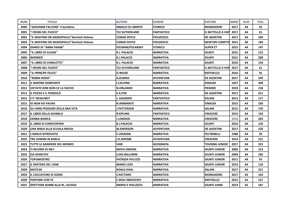| <b>NUM</b> | <b>TITOLO</b>                               | <b>AUTORE</b>            | <b>GENERE</b>     | <b>EDITORE</b>        | <b>ANNO</b> | <b>SCAF</b> | PAG. |
|------------|---------------------------------------------|--------------------------|-------------------|-----------------------|-------------|-------------|------|
| 2000       | "GIOVANNI FALCONE"-il bambino               | <b>ANGELO DI LIBERTO</b> | <b>STORICO</b>    | <b>MONDADORI</b>      | 2017        | A4          | 92   |
| 2001       | "I REGNI DEL FUOCO"                         | <b>TUI SUTHERLAND</b>    | <b>FANTASTICO</b> | IL BATTELLO A VAP     | 2017        | Α4          | 61   |
| 2002       | "IL MASTINO DEI BASKERVILLE"Sherlock Holmes | <b>CONAD DOYLE</b>       | <b>POLIZIESCO</b> | <b>DE AGOSTINI</b>    | 2017        | Α4          | 249  |
| 2003       | "IL MASTINO DEI BASKERVILLE"Sherlock Holmes | <b>CONAD DOYLE</b>       | <b>POLIZIESCO</b> | <b>NEWTON COMPTO</b>  | 2015        | Α4          | 189  |
| 2004       | <b>DIARIO DI "ANNA FRANK"</b>               | <b>FOLMAN/POLANSKY</b>   | <b>STORICO</b>    | <b>SUPER ET</b>       | 2015        | A4          | 147  |
| 2005       | "IL LIBRO DI JULIAN"                        | <b>R.J. PALACIO</b>      | <b>NARRATIVA</b>  | <b>GIUNTI</b>         | 2015        | Α4          | 123  |
| 2006       | <b>WONDER</b>                               | <b>R.J.PALACIO</b>       | <b>NARRATIVA</b>  | <b>GIUNTI</b>         | 2015        | Α4          | 288  |
| 2007       | "IL LIBRO DI CHARLOTTE"                     | <b>R.J. PALACIO</b>      | <b>NARRATIVA</b>  | <b>GIUNTI</b>         | 2016        | Α4          | 156  |
| 2008       | "I REGNI DEL FUOCO"                         | <b>TUI SUTHERLAND</b>    | <b>FANTASTICO</b> | IL BATTELLO A VAP     | 2017        | Α4          | 61   |
| 2009       | "IL PRINCIPE FELICE"                        | <b>O.WILDE</b>           | <b>NARRATIVA</b>  | <b>RAFFAELLO</b>      | 2016        | A4          | 91   |
| 2010       | "ROBIN HOOD"                                | A.DUMAS                  | <b>AVVENTURA</b>  | <b>DE AGOSTINI</b>    | 2017        | Α4          | 249  |
| 2011       | <b>IL BARONE RAMPANTE</b>                   | <b>I.CALVINO</b>         | <b>NARRATIVA</b>  | <b>EINAUDI</b>        | 1957        | Α4          | 308  |
| 2012       | <b>VIETATO DIRE NON CE LA FACCIO</b>        | <b>N.ORLANDO</b>         | <b>NARRATIVA</b>  | <b>PIEMME</b>         | 2018        | Α4          | 158  |
| 2013       | IL POZZO E IL PENDOLO                       | <b>E.A.POE</b>           | <b>NARRATIVA</b>  | <b>DE AGOSTINI</b>    | 2017        | A4          | 251  |
| 2014       | C'E' NESSUNO?                               | I. GAARDER               | <b>FANTASTICO</b> | <b>SALANI</b>         | 2013        | Α4          | 117  |
| 2015       | <b>IO NON HO PAURA</b>                      | <b>N.AMMANITI</b>        | <b>NARRATIVA</b>  | <b>EINAUDI</b>        | 2015        | Α4          | 230  |
| 2016       | GLI ANNI PEGGIORI DELLA MIA VITA            | <b>J.PATTERSON</b>       | <b>NARRATIVA</b>  | <b>SALANI</b>         | 2015        | Α4          | 150  |
| 2017       | IL LIBRO DELLA GIUNGLA                      | <b>R.KIPLING</b>         | <b>FANTASTICO</b> | <b>CRESCERE</b>       | 2014        | Α4          | 156  |
| 2018       | <b>ZANNA BIANCA</b>                         | J LONDON                 | <b>NARRATIVA</b>  | <b>CRESCERE</b>       | 2016        | Α4          | 203  |
| 2019       | <b>IL LIBRO DI CHRISTOPHER</b>              | <b>R.J.PALACIO</b>       | <b>NARRATIVA</b>  | <b>GIUNTI</b>         | 2016        | Α4          | 120  |
| 2020       | UNA NINJA ALLA SCUOLA MEDIA                 | <b>M.EMERSON</b>         | <b>AVVENTURA</b>  | <b>DE AGOSTINI</b>    | 2017        | Α4          | 220  |
| 2021       | <b>L'AMICO RITROVATO</b>                    | <b>F.UHLMAN</b>          | <b>NARRATIVA</b>  | <b>FELTRINELLI</b>    | 1988        | Α4          | 92   |
| 2022       | <b>TRE UOMINI IN BARCA</b>                  | <b>J.K.JEROME</b>        | <b>AVVENTURA</b>  | <b>CRESCERE</b>       | 2014        | Α4          | 221  |
| 2023       | TUTTE LE BANDIERE DEL MONDO                 | <b>VARI</b>              | <b>GEOGRAFIA</b>  | <b>TOURING JUNIOR</b> | 2017        | G4          | 223  |
| 2024       | TI RICORDI DI ME?                           | <b>MOYA SIMONS</b>       | <b>NARRATIVA</b>  | <b>GIUNTI JUNIOR</b>  | 2006        | A4          | 153  |
| 2025       | <b>ZIA DOROTHY</b>                          | LUIGI BALLERINI          | <b>NARRATIVA</b>  | <b>GIUNTI JUNIOR</b>  | 2009        | Α4          | 182  |
| 2026       | <b>TOPOMOSTRO</b>                           | <b>PATRIZIA POLUZZI</b>  | <b>NARRATIVA</b>  | <b>GIUNTI JUNIOR</b>  | 2011        | A4          | 92   |
| 2027       | IL MISTERO DEL CANE                         | <b>MARIO LODI</b>        | <b>NARRATIVA</b>  | <b>GIUNTI JUNIOR</b>  | 2014        | Α4          | 116  |
| 2028       | <b>MATILDE</b>                              | <b>ROALD DAHL</b>        | <b>NARRATIVA</b>  | <b>SALANI</b>         | 2017        | A4          | 221  |
| 2029       | <b>IL CACCIATORE DI SOGNI</b>               | <b>S.RATTARO</b>         | <b>NARRATIVA</b>  | <b>MONDADORI</b>      | 2017        | А5          | 163  |
| 2030       | <b>PORTAMI CON TE</b>                       | <b>F.DEGL'INNOCENTI</b>  | <b>NARRATIVA</b>  | <b>RAFFAELLO</b>      | 2015        | A5          | 127  |
| 2031       | <b>ISPETTORE BOMB ALLA RISCOSSA</b>         | <b>INDRIO E HOLLESCH</b> | <b>NARRATIVA</b>  | <b>GIUNTI JUNIR</b>   | 2014        | A5          | 187  |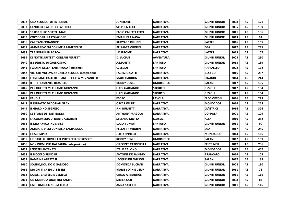| 2032 | UNA SCUOLA TUTTA PER ME                        | <b>JON BLAKE</b>           | <b>NARRATIVA</b>  | <b>GIUNTI JUNIOR</b> | 2008 | А5        | 121 |
|------|------------------------------------------------|----------------------------|-------------------|----------------------|------|-----------|-----|
| 2033 | <b>GENITORI E ALTRE CATASTROFI</b>             | <b>STEPHEN COLE</b>        | <b>NARRATIVA</b>  | <b>GIUNTI JUNIOR</b> | 2005 | A5        | 159 |
| 2034 | 10.000 EURO SOTTO I MARI                       | <b>FABIO CAPECELATRO</b>   | <b>NARRATIVA</b>  | <b>GIUNTI JUNIOR</b> | 2011 | Α5        | 186 |
| 2035 | <b>COCCODRILLI A COLAZIONE</b>                 | EMANUELA NAVA              | <b>NARRATIVA</b>  | <b>GIUNTI JUNIOR</b> | 2013 | A5        | 92  |
| 2036 | <b>CAPITANI CORAGGIOSI</b>                     | <b>RUDYARD KIPLING</b>     | NARRATIVA         | <b>LATTES</b>        | 2016 | A5        | 155 |
| 2037 | <b>AMMARE-VIENI CON ME A LAMPEDUSA</b>         | PELLAI-TAMBORINI           | <b>NARRATIVA</b>  | <b>DEA</b>           | 2017 | A5        | 245 |
| 2038 | TRE UOMINI IN BARCA                            | J.K.JEROME                 | <b>NARRATIVA</b>  | <b>LATTES</b>        | 2013 | A5        | 107 |
| 2039 | DI NOTTE SUI TETTI, CORSARI PERFETTI           | <b>D. LUCIANI</b>          | AVVENTURA         | <b>GIUNTI JUNIOR</b> | 2005 | A5        | 250 |
| 2040 | <b>IL SEGRETO DI CAGLIOSTRO</b>                | <b>A.MANETTI</b>           | <b>FANTASIA</b>   | <b>GIUNTI JUNIOR</b> | 2013 | A5        | 189 |
| 2041 | I GIORNI DELLA TARTARUGA (bullismo)            | <b>C. ELLIOT</b>           | <b>FANTASIA</b>   | <b>RAFFAELLO</b>     | 2022 | A5        | 162 |
| 2042 | VIKI CHE VOLEVA ANDARE A SCUOLA (integrazione) | <b>FABRIZIO GATTI</b>      | <b>NARRATIVA</b>  | <b>BEST BUR</b>      | 2016 | A5        | 257 |
| 2043 | LO STRANO CASO DEL CANE UCCISO A MEZZANOTTE    | <b>MARK HADDON</b>         | NARRATIVA         | <b>EINAUDI</b>       | 2014 | A5        | 244 |
| 2044 | IL TRATTAMENTO RIDARELLI                       | <b>RODDY DOYLE</b>         | <b>UMORISTICO</b> | <b>SALANI</b>        | 2017 | A5        | 105 |
| 2045 | PER QUESTO MI CHIAMO GIOVANNI                  | LUIGI GARLANDO             | <b>STORICO</b>    | <b>RIZZOLI</b>       | 2017 | A5        | 154 |
| 2046 | PER QUESTO MI CHIAMO GIOVANNI                  | LUIGI GARLANDO             | <b>STORICO</b>    | <b>RIZZOLI</b>       | 2017 | <b>A5</b> | 154 |
| 2047 | <b>FAVOLE</b>                                  | <b>ESOPO</b>               | <b>FAVOLA</b>     | <b>N.COMPTON</b>     | 2016 | А5        | 273 |
| 2048 | <b>IL RITRATTO DI DORIAN GRAY</b>              | <b>OSCAR WILDE</b>         | <b>NARRATIVA</b>  | <b>MONDADORI</b>     | 2016 | A5        | 278 |
| 2049 | <b>IL GIARDINO SEGRETO</b>                     | <b>F.H. BURNETT</b>        | <b>NARRATIVA</b>  | <b>GL'ISTRICI</b>    | 2016 | A5        | 326 |
| 2050 | LE STORIE DEI MEI NONNI                        | <b>ANTHONY FRAGOLA</b>     | <b>NARRATIVA</b>  | <b>COPPOLA</b>       | 2001 | A5        | 109 |
| 2051 | LA COMMEDIA DI DANTE ALIGHIERI                 | <b>STEFANO MOTTA</b>       | <b>CLASSICI</b>   | ALFA                 | 2010 | А5        | 282 |
| 2052 | <b>IL MIO AMICO INVISIBILE</b>                 | LUCIA TUMIATI              | <b>FANTASIA</b>   | <b>GIUNTI JUNIOR</b> | 2011 | <b>A5</b> | 90  |
| 2053 | AMMARE-VIENI CON ME A LAMPEDUSA                | PELLAI-TAMBORINI           | <b>NARRATIVA</b>  | <b>IDEA</b>          | 2017 | A5        | 245 |
| 2054 | <b>LA SCHIAPPA</b>                             | <b>JERRY SPINELLI</b>      | <b>NARRATIVA</b>  | <b>MONDADORI</b>     | 2014 | A5        | 166 |
| 2055 | I RIDARELLI "ROVER E IL PUPO BELLO GROSSO"     | <b>RODDY DOYLE</b>         | <b>UMORISTICO</b> | <b>SALANI</b>        | 2017 | A5        | 159 |
| 2056 | NON DIRMI CHE HAI PAURA (integrazione)         | <b>GIUSEPPE CATOZZELLA</b> | <b>NARRATIVA</b>  | <b>FELTRINELLI</b>   | 2017 | A5        | 236 |
| 2057 | I NOSTRI ANTENATI                              | <b>ITALO CALVINO</b>       | <b>NARRATIVA</b>  | <b>MONDADORI</b>     | 2017 | A5        | 407 |
| 2058 | IL PICCOLO PRINCIPE                            | <b>ANTOINE DE SAINT-EX</b> | <b>NARRATIVA</b>  | <b>BRANCATO</b>      | 2016 | A5        | 109 |
| 2059 | <b>BAMBINA AFFITTASI</b>                       | <b>JACQUELINE WILSON</b>   | NARRATIVA         | <b>SALANI</b>        | 2017 | A5        | 138 |
| 2060 | SOLIDO,LIQUIDO O GASSOSO                       | <b>DOMENICA LUCIANI</b>    | <b>NARRATIVA</b>  | <b>GIUNTI JUNIOR</b> | 2008 | А5        | 190 |
| 2061 | <b>MA CHI TI CREDI DI ESSERE</b>               | <b>MARIE-SOPHIE VERM</b>   | <b>NARRATIVA</b>  | <b>GIUNTI JUNIOR</b> | 2011 | A5        | 76  |
| 2062 | <b>DUELLI, CASTELLI E GEMELLI</b>              | CARLO A. MARTIGLI          | NARRATIVA         | <b>GIUNTI JUNIOR</b> | 2011 | А5        | 116 |
| 2063 | UN NONNO A QUATTRO ZAMPE                       | SHEILA OCH                 | <b>NARRATIVA</b>  | <b>GIUNTI JUNIOR</b> | 2008 | A5        | 84  |
| 2064 | <b>CAPITOMBOLO SULLA TERRA</b>                 | <b>ANNA SARFATTI</b>       | <b>NARRATIVA</b>  | GIUNTI JUNIOR        | 2011 | A5        | 116 |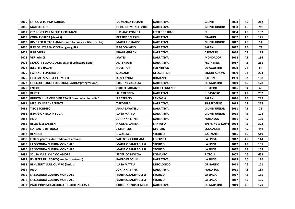| 2065 | LARGO A TOMMY SQUALO                                  | <b>DOMENICA LUCIANI</b>     | <b>NARRATIVA</b>       | <b>GIUNTI</b>               | 2008 | А5             | 212 |
|------|-------------------------------------------------------|-----------------------------|------------------------|-----------------------------|------|----------------|-----|
| 2066 | <b>MALEDETTO 13</b>                                   | <b>GERARDE MONCOMBLE</b>    | <b>NARRATIVA</b>       | <b>GIUNTI JUNIOR</b>        | 2008 | A5             | 92  |
| 2067 | C'E' POSTA PER MICHELE CRISMANI                       | LUCIANO COMIDA              | <b>LETTERE E DIARI</b> | iel.                        | 2004 | Α5             | 132 |
| 2068 | <b>CORALE GRECA (classici)</b>                        | <b>BEATRICE MASINI</b>      | NARRATIVA              | <b>EINAUDI</b>              | 2002 | A5             | 171 |
| 2069 | RIME PER TUTTO L'ANNO(raccolta poesie e filastrocche) | <b>MARIA L.GIRALDO</b>      | NARRATIVA              | <b>GIUNTI JUNIOR</b>        | 2012 | <b>A5</b>      | 94  |
| 2070 | IL PROF. STRAFALCIONI e i geroglifici                 | <b>P.BACCALARIO</b>         | <b>NARRATIVA</b>       | <b>SALANI</b>               | 2017 | A5             | 74  |
| 2071 | <b>IL PROFETA</b>                                     | <b>KHALIL GIBRAN</b>        | <b>NARRATIVA</b>       | <b>CRESCERE</b>             | 2016 | A5             | 125 |
| 2072 | <b>VERI AMICI</b>                                     | <b>MATES</b>                | NARRATIVA              | <b>MONDADORI</b>            | 2018 | A5             | 136 |
| 2073 | <b>STANOTTE GUARDIAMO LE STELLE (integrazione)</b>    | ALI' EHSANI                 | NARRATIVA              | <b>FELTRINELLI</b>          | 2017 | A5             | 261 |
| 2074 | <b>INSETTI E RAGNI</b>                                | <b>NOEL TAIT</b>            | <b>SCIENTIFICO</b>     | <b>DE AGOSTINI</b>          | 2008 | G4             | 64  |
| 2075 | I GRANDI ESPLORATORI                                  | <b>S. ADAMS</b>             | <b>GEOGRAFICO</b>      | <b>SIMON ADAMS</b>          | 2009 | G4             | 224 |
| 2076 | I PROMESSI SPOSI A FUMETTI                            | A. MANZONI                  | <b>ROMANZO</b>         | <b>PAOLINE</b>              | 1989 | G2             | 108 |
| 2077 | I PICCOLI PRINCIPI DEL RIONE SANITA'(integrazione)    | <b>CRISTINA ZAGARIA</b>     | <b>NARRATIVA</b>       | <b>DE AGOSTINI</b>          | 2019 | A5             | 178 |
| 2078 | <b>ENEIDE</b>                                         | <b>GRILLO PARLANTE</b>      | <b>MITI E LEGGENDE</b> | <b>RUSCONI</b>              | 2016 | G4             | 48  |
| 2079 | <b>BESTIA</b>                                         | <b>ALLY KENNEN</b>          | <b>NARRATIVA</b>       | <b>IL CASTORO</b>           | 2007 | A5             | 232 |
| 2080 | RUDOW IL VAMPIRO PIRATA"II fiore della discordia"     | <b>S.Z.STRAND</b>           | FANTASIA               | SALANI                      | 2016 | A5             | 249 |
| 2081 | <b>MEGLIO NAT CHE NIENTE</b>                          | <b>T.FEDERLA</b>            | <b>NARRATIVA</b>       | TIM FEDERLE                 | 2015 | A5             | 263 |
| 2082 | <b>TITO STORDITO</b>                                  | <b>ANNA LAVATELLI</b>       | <b>NARRATIVA</b>       | <b>GIUNTI JUNIOR</b>        | 2011 | A5             | 76  |
| 2083 | <b>IL PRIGIONIERO IN FUGA</b>                         | LUISA MATTIA                | <b>NARRATIVA</b>       | <b>GIUNTI JUNIOR</b>        | 2013 | A5             | 108 |
| 2084 | <b>HEIDI</b>                                          | <b>JOHANNA SPYIRI</b>       | <b>NARRATIVA</b>       | <b>NORD-SUD</b>             | 2011 | A5             | 139 |
| 2085 | <b>BELLE &amp; SEBASTIEN</b>                          | <b>NICOLAS VANIER</b>       | <b>FANTASIA</b>        | <b>SPERLING &amp; KUPFE</b> | 2014 | A5             | 302 |
| 2086 | L'ATLANTE DI FUOCO                                    | <b>J.STEPHENS</b>           | <b>MISTERO</b>         | <b>LONGANESI</b>            | 2012 | A5             | 448 |
| 2087 | <b>BEN HUR</b>                                        | L.WALLACE                   | <b>STORICO</b>         | GARZANTI                    | 2016 | A5             | 549 |
| 2088 | E TU? (percorsi di cittadinanza attiva))              | <b>VALENTINA GIULIANI</b>   | <b>ED.CIVICA</b>       | <b>LA SPIGA</b>             | 2017 | A5             | 144 |
| 2089 | LA SECONDA GUERRA MONDIALE                            | <b>MARIA C.SAMPAOLESI</b>   | <b>STORICO</b>         | LA SPIGA                    | 2017 | A5             | 155 |
| 2090 | LA SECONDA GUERRA MONDIALE                            | <b>MARIA C.SAMPAOLESI</b>   | <b>STORICO</b>         | <b>LA SPIGA</b>             | 2017 | A5             | 155 |
| 2091 | <b>SCUSA MA TI CHIAMO AMORE</b>                       | <b>FEDERICO MOCCIA</b>      | <b>ROMANZO</b>         | <b>RIZZOLI</b>              | 2007 | A6             | 663 |
| 2092 | ILVALZER DEL BOSCO (ambienti naturali)                | <b>PAOLO ERCOLINI</b>       | <b>NARRATIVA</b>       | <b>LA SPIGA</b>             | 2013 | A <sub>6</sub> | 126 |
| 2093 | BENVENUTI SULL'OLIMPO (i mitici)                      | LUISA MATTIA                | <b>MITOLOGICO</b>      | <b>GRIBAUDO</b>             | 2013 | A6             | 121 |
| 2094 | <b>HEIDI</b>                                          | <b>JOHANNA SPYIRI</b>       | <b>NARRATIVA</b>       | <b>NORD-SUD</b>             | 2011 | A6             | 139 |
| 2095 | LA SECONDA GUERRA MONDIALE                            | <b>MARIA C.SAMPAOLESI</b>   | <b>STORICO</b>         | <b>LA SPIGA</b>             | 2017 | A6             | 155 |
| 2096 | LA SECONDA GUERRA MONDIALE                            | <b>MARIA C.SAMPAOLESI</b>   | <b>STORICO</b>         | <b>LA SPIGA</b>             | 2017 | A <sub>6</sub> | 155 |
| 2097 | PAUL L'INVESTIGACUOCO E I FURTI IN CLASSE             | <b>CHRISTINE NOSTLINGER</b> | <b>NARRATIVA</b>       | <b>DE AGOSTINI</b>          | 2019 | A <sub>6</sub> | 170 |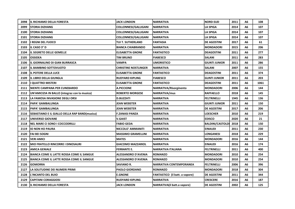| 2098 | <b>IIL RICHIAMO DELLA FORESTA</b>             | <b>JACK LONDON</b>          | <b>NARRATIVA</b>               | <b>NORD-SUD</b>         | 2011 | А6 | 108  |
|------|-----------------------------------------------|-----------------------------|--------------------------------|-------------------------|------|----|------|
| 2099 | <b>ISTORIA DIZHANG</b>                        | <b>COLLONNESI/GALLIGANI</b> | <b>NARRATIVA</b>               | <b>LA SPIGA</b>         | 2014 | A6 | 107  |
| 2100 | <b>STORIA DIZHANG</b>                         | COLLONNESI/GALLIGANI        | <b>NARRATIVA</b>               | LA SPIGA                | 2014 | А6 | 107  |
| 2101 | <b>STORIA DIZHANG</b>                         | <b>COLLONNESI/GALLIGANI</b> | <b>NARRATIVA</b>               | LA SPIGA                | 2014 | A6 | 107  |
| 2102 | <b>II REGNI DEL FUOCO</b>                     | TUI T. SUTHERLAND           | FANTASIA                       | <b>DE AGOSTINI</b>      | 2017 | А6 | 61   |
| 2103 | <b>IIL CASO 3° D</b>                          | <b>BIANCA CHIABRANDO</b>    | <b>NARRATIVA</b>               | <b>MONDADORI</b>        | 2015 | A6 | 206  |
| 2104 | <b>IL SEGRETO DELLE GEMELLE</b>               | <b>ELISABETTA GNONE</b>     | <b>FANTASTICO</b>              | <b>DEAGOSTINI</b>       | 2011 | А6 | 277  |
| 2105 | <b>OSSIDEA</b>                                | TIM BRUNO                   | <b>FIABESCO</b>                | SALANI                  | 2011 | A6 | 283  |
| 2106 | IL GIORNALINO DI GIAN BURRASCA                | <b>VAMPA</b>                | UMORISTICO                     | GIUNTI JUNIOR           | 2011 | А6 | 286  |
| 2107 | <b>IL BAMBINO SOTTOVUOTO</b>                  | <b>CHRISTINE NOSTLINGER</b> | <b>NARRATIVA</b>               | SALANI                  | 2007 | A6 | 155  |
| 2108 | <b>IL POTERE DELLA LUCE</b>                   | <b>ELISABETTA GNONE</b>     | <b>FANTASTICO</b>              | DEAGOSTINI              | 2011 | А6 | 374  |
| 2109 | <b>IIL LIBRO DELLA GIUNGLA</b>                | <b>RUDYARD KIPLING</b>      | <b>FIABESCO</b>                | <b>GUNTI JUNIOR</b>     | 2011 | А6 | 203  |
| 2110 | I QUATTRO MISTERI                             | <b>ELISABETTA GNONE</b>     | <b>FANTASTICO</b>              | DEAGOSTINI              | 2011 | А6 | 1061 |
| 2111 | <b>INIENTE CAMPANA PER CUNEBARDO</b>          | <b>A.PICCIONE</b>           | <b>NARRATIVA/Risorginento</b>  | <b>MONDADORI</b>        | 2006 | A6 | 144  |
| 2112 | UN'AMICIZIA IN BALLO (integraz con la musica) | <b>ROBERTO MORGESE</b>      | <b>NARRATIVA/mus</b>           | <b>RAFFAELLO</b>        | 2018 | A6 | 145  |
| 2113 | <b>LA FAMOSA INVASIONE DEGLI ORSI</b>         | <b>D.BUZZATI</b>            | NARRATIVA                      | <b>FELTRINELLI</b>      | 1945 | A6 | 136  |
| 2114 | lPAPA' GAMBALUNGA                             | JEAN WEBSTER                | <b>NARRATIVA</b>               | <b>GIUNTI JUNIOR</b>    | 2011 | A6 | 150  |
| 2115 | <b>IPAPA' GAMBALUNGA</b>                      | <b>JEAN WEBSTER</b>         | <b>NARRATIVA</b>               | <b>DE AGOSTINI</b>      | 2017 | A6 | 206  |
| 2116 | SEBASTIANO E IL GIALLO DELLA RAP BAND(musica) | <b>F.ZANASI PANZA</b>       | NARRATIVA                      | <b>LOESCHER</b>         | 2010 | A6 | 219  |
| 2117 | <b>IUNIVERSO GIOVANE</b>                      | <b>V.GAIST</b>              | <b>NARRATIVA</b>               | <b>EDISCO</b>           | 2020 | A6 | 21   |
| 2118 | <b>NEL MARE CI SONO I COCCODRILLI</b>         | <b>FABIO GEDA</b>           | <b>NARRATIVA</b>               | <b>BALDINI/CASTOLDI</b> | 2018 | А6 | 150  |
| 2119 | <b>IO NON HO PAURA</b>                        | NICCOLO' AMMANITI           | <b>NARRATIVA</b>               | <b>EINAUDI</b>          | 2011 | A6 | 230  |
| 2120 | FAI BEI SOGNI                                 | <b>MASSIMO GRAMELLINI</b>   | NARRATIVA                      | LONGANESI               | 2018 | A6 | 229  |
| 2121 | <b>VERI AMICI</b>                             | <b>MATES</b>                | <b>NARRATIVA</b>               | <b>MONDADORI</b>        | 2016 | A6 | 144  |
| 2122 | MIO FRATELLO RINCORRE I DINOSAURI             | <b>GIACOMO MAZZARIOL</b>    | <b>NARRATIVA</b>               | <b>EINAUDI</b>          | 2016 | A6 | 174  |
| 2123 | AMICA GENIALE                                 | <b>FERRANTE E.</b>          | <b>NARRATIVA ITALIANA</b>      | FELTRINELLI             | 2011 | A6 | 400  |
| 2124 | BIANCA COME IL LATTE ROSSA COME IL SANGUE     | ALESSANDRO D'AVENIA         | <b>ROMANZO</b>                 | MONDADORI               | 2010 | A6 | 254  |
| 2125 | BIANCA COME IL LATTE ROSSA COME IL SANGUE     | <b>ALESSANDRO D'AVENIA</b>  | <b>ROMANZO</b>                 | <b>MONDADORI</b>        | 2010 | A6 | 254  |
| 2126 | GOMORRA                                       | <b>SAVIANO R.</b>           | <b>NARRATIVA CONTEMPORANEA</b> | FELTRINELLI             | 2006 | A6 | 396  |
| 2127 | LA SOLITUDINE DEI NUMERI PRIMI                | <b>PAOLO GIORDANO</b>       | <b>ROMANZO</b>                 | <b>MONDADORI</b>        | 2018 | A6 | 304  |
| 2128 | <b>IL'INCANTO DEL BUIO</b>                    | <b>E.GNONE</b>              | FANTASTICO (il batt. a vapore) | <b>DE AGOSTINI</b>      | 2011 | А6 | 344  |
| 2129 | <b>CAPITANI CORAGGIOSI</b>                    | <b>RUDYARD KIPLING</b>      | <b>NARRATIVA</b>               | <b>CRESCERE</b>         | 2016 | A6 | 187  |
| 2130 | <b>IL RICHIAMO DELLA FORESTA</b>              | <b>JACK LONDON</b>          | NARRATIVA(il batt.a vapore)    | <b>DE AGOSTINI</b>      | 2002 | A6 | 125  |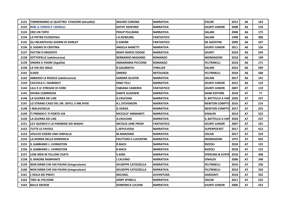| 2131 | TORNERANNO LE QUATTRO STAGIONI (attualità) | <b>MAURO CORONA</b>         | <b>NARRATIVA</b>  | <b>OSCAR</b>                | 2012 | А6             | 163 |
|------|--------------------------------------------|-----------------------------|-------------------|-----------------------------|------|----------------|-----|
| 2132 | <b>ROB, IL CORVO E I GIOIELLI</b>          | <b>KATHY ASHFORD</b>        | <b>NARRATIVA</b>  | <b>GIUNTI JUNIOR</b>        | 2008 | A <sub>6</sub> | 154 |
| 2133 | <b>ERO UN TOPO</b>                         | PHILIP PULLMAN              | <b>NARRATIVA</b>  | <b>SALANI</b>               | 2008 | A6             | 175 |
| 2134 | lla PIETRA FILOSOFALE                      | J.K.ROWLING                 | <b>FANTASTICO</b> | <b>SALANI</b>               | 1998 | A <sub>6</sub> | 300 |
| 2135 | GLI INCANTEVOLI GIORNI DI SHIRLEY          | <b>E.GNONE</b>              | <b>FANTASTICO</b> | <b>DE AGOSTINI</b>          | 2009 | A6             | 247 |
| 2136 | <b>IL SOGNO DI CRISTINA</b>                | <b>ANGELA NANETTI</b>       | <b>NARRATIVA</b>  | <b>GIUNTI JUNIOR</b>        | 2011 | A6             | 156 |
| 2137 | <b>PATTINI D'ARGENTO</b>                   | <b>MARY MAPES DODGE</b>     | <b>NARRATIVA</b>  | <b>GIUNTI</b>               | 2018 | A <sub>6</sub> | 244 |
| 2138 | SOTTOPELLE (adolescenza)                   | <b>BERNARDO-MAISANO</b>     | <b>ROMANZO</b>    | <b>MONDADORI</b>            | 2018 | A6             | 199 |
| 2139 | <b>ONORA IL PADRE (legalità)</b>           | <b>ANNAMARIA PICCIONE</b>   | <b>ROMANZO</b>    | <b>FELTRINELLI</b>          | 2018 | A <sub>6</sub> | 171 |
| 2140 | LA VIA DEL MALE                            | <b>R.GALBRAITH</b>          | <b>THRILLER</b>   | <b>SALANI</b>               | 2016 | A6             | 599 |
| 2141 | <b>IILIADE</b>                             | <b>OMERO</b>                | <b>MITOLOGIA</b>  | <b>FELTRINELLI</b>          | 2018 | A <sub>6</sub> | 568 |
| 2142 | ABBASSO LE REGOLE (adolescenza)            | <b>SANDRA GLOVER</b>        | <b>NARRATIVA</b>  | <b>SALANI</b>               | 2017 | A6             | 141 |
| 2143 | CACCOLA E I MAMMUT                         | <b>DINO TICLI</b>           | <b>NARRATIVA</b>  | <b>GIUNTI JUNIOR</b>        | 2015 | A <sub>6</sub> | 123 |
| 2144 | <b>LILLI E LE STREGHE DI CORK</b>          | <b>FABIANA CAMERIN</b>      | <b>FANTASTICO</b> | <b>GIUNTI JUNIOR</b>        | 2007 | Α7             | 119 |
| 2145 | <b>DIVINA COMMEDIA</b>                     | <b>DANTE ALIGHIERI</b>      | <b>NARRATIVA</b>  | <b>DAMI EDITORE</b>         | 2018 | A7             | 77  |
| 2146 | LA GUERRA DEI LIKE                         | <b>A.CRUCIANI</b>           | <b>NARRATIVA</b>  | <b>IL BATTELLO A VAP</b>    | 2020 | Α7             | 237 |
| 2147 | LO STRANO CASO DEL DR. JEKYLL E MR.HYDE    | <b>R.L.STEVENSON</b>        | <b>NARRATIVA</b>  | <b>NEWTON COMPTO</b>        | 2016 | А7             | 214 |
| 2148 | li MALAVOGLIA                              | <b>G.VERGA</b>              | <b>NARRATIVA</b>  | <b>NEWTON COMPTO</b>        | 2017 | A7             | 253 |
| 2149 | TI PRENDO E TI PORTO VIA                   | NICCOLO' AMMANITI           | <b>NARRATIVA</b>  | <b>EINAUDI</b>              | 2014 | Α7             | 522 |
| 2150 | LA GUERRA DEI LIKE                         | <b>A.CRUCIANI</b>           | <b>NARRATIVA</b>  | <b>IL BATTELLO A VAP</b>    | 2020 | Α7             | 237 |
| 2151 | LILY QUENCH E LA PIRAMIDE DEI MAGHI        | <b>NATALIE JANE PRIOR</b>   | <b>FANTASTICO</b> | <b>GIUNTI JUNIOR</b>        | 2007 | Α7             | 191 |
| 2152 | <b>TUTTE LE FAVOLE</b>                     | <b>L.SEPULVEDA</b>          | <b>NARRATIVA</b>  | <b>SUPERPOCKET</b>          | 2017 | A7             | 413 |
| 2153 | VOLEVO ESSERE UNA FARFALLA                 | <b>M.MARZANO</b>            | <b>NARRATIVA</b>  | <b>OSCAR</b>                | 2017 | <b>A7</b>      | 210 |
| 2154 | LA DONNA DELLA DOMENICA                    | <b>FRUTTERO E LUCENTINI</b> | <b>NARRATIVA</b>  | <b>MONDADORI</b>            | 1972 | A7             | 503 |
| 2155 | <b>IIL GABBIANO J. LIVINGSTON</b>          | <b>R.BACH</b>               | <b>NARRATIVA</b>  | <b>RIZZOLI</b>              | 2018 | <b>A7</b>      | 125 |
| 2156 | <b>IIL GABBIANO J. LIVINGSTON</b>          | <b>R.BACH</b>               | <b>NARRATIVA</b>  | <b>RIZZOLI</b>              | 2018 | А7             | 125 |
| 2157 | LOW MEN IN YELLOW COATS                    | <b>S.KING</b>               | <b>NARRATIVA</b>  | <b>SPERLING &amp; KUPFE</b> | 2018 | <b>A7</b>      | 308 |
| 2158 | <b>IL BARONE RAMPANTE</b>                  | <b>I.CALVINO</b>            | <b>NARRATIVA</b>  | <b>EINAUDI</b>              | 2006 | А7             | 248 |
| 2159 | NON DIRMI CHE HAI PAURA (integrazione)     | <b>GIUSEPPE CATOZZELLA</b>  | <b>NARRATIVA</b>  | <b>FELTRINELLI</b>          | 2016 | <b>A7</b>      | 236 |
| 2160 | NON DIRMI CHE HAI PAURA (integrazione)     | <b>GIUSEPPE CATOZZELLA</b>  | <b>NARRATIVA</b>  | <b>FELTRINELLI</b>          | 2016 | <b>A7</b>      | 236 |
| 2161 | L'ISOLA DEI PIRATI                         | <b>MICHAEL</b>              | <b>AVVENTURA</b>  | <b>GARZANTI</b>             | 2018 | A7             | 332 |
| 2162 | <b>TIRO AL PICCIONE</b>                    | <b>JERRY SPINELLI</b>       | <b>NARRATIVA</b>  | <b>OSCAR</b>                | 2011 | A7             | 232 |
| 2163 | <b>BALLE GROSSE</b>                        | <b>DOMENICA LUCIANI</b>     | <b>NARRATIVA</b>  | <b>GIUNTI JUNIOR</b>        | 2006 | <b>A7</b>      | 253 |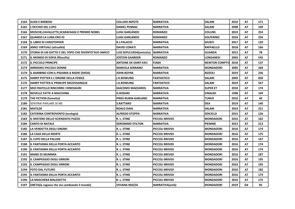| 2164 | SUSSI E BIRIBISSI                                   | <b>COLLODI-NIPOTE</b>       | <b>NARRATIVA</b>       | <b>SALANI</b>        | 2010 | А7        | 171 |
|------|-----------------------------------------------------|-----------------------------|------------------------|----------------------|------|-----------|-----|
| 2165 | IL'OCCHIO DEL LUPO                                  | <b>DANIEL PENNAC</b>        | <b>NARRATIVA</b>       | <b>SALANI</b>        | 2008 | <b>A7</b> | 109 |
| 2166 | MOSCHE,CAVALLETTE,SCARAFAGGI E PREMIO NOBEL         | <b>LUIGI GARLANDO</b>       | <b>ROMANZO</b>         | <b>COLLINS</b>       | 2019 | А7        | 254 |
| 2167 | QUANDO LA LUNA ERO IO                               | LUIGI GARLANDO              | <b>ROMANZO</b>         | <b>SOLFERINO</b>     | 2018 | <b>A7</b> | 250 |
| 2168 | IL LIBRO DI CHRISTOPHER                             | R.J.PALACIO                 | <b>NARRATIVA</b>       | GIUNTI               | 2017 | А7        | 120 |
| 2169 | AMICI VIRTUALI (attualità)                          | <b>DAVID CONATI</b>         | <b>NARRATIVA</b>       | <b>RAFFAELLO</b>     | 2018 | A7        | 166 |
| 2170 | STORIA DI UN GATTO E DEL TOPO CHE DIVENTO'SUO AMICO | LUIS SEPULVEDA(amicizia)    | <b>NARRATIVA</b>       | <b>GUANDA</b>        | 2012 | <b>A7</b> | 78  |
| 2171 | IL MONDO DI SOFIA (filosofia)                       | JOSTEIN GAARDER             | <b>ROMANZO</b>         | <b>LONGANESI</b>     | 2003 | Α7        | 542 |
| 2172 | IIL PICCOLO PRINCIPE                                | <b>ANTOINE DE SAINT-EXU</b> | <b>FIABA</b>           | <b>NEWTON COMPTO</b> | 2018 | <b>A7</b> | 137 |
| 2173 | <b>ARRIDERCI PICCOLE DONNE</b>                      | <b>MARCELA SERRANO</b>      | <b>NARRATIVA</b>       | <b>MONDADORI</b>     | 2005 | А7        | 269 |
| 2174 | IL BAMBINO CON IL PIGIAMA A RIGHE (SHOA)            | <b>JOHN BOYNE</b>           | <b>NARRATIVA</b>       | <b>RIZZOLI</b>       | 2019 | <b>A7</b> | 236 |
| 2175 | HARRY POTTER E L'ORDINE DELLA FENICE                | <b>I.K.ROWLING</b>          | <b>FANTASTICO</b>      | <b>SALANI</b>        | 2003 | А7        | 850 |
| 2176 | HARRY POTTER-IL PRINCIPE MEZZOSANGUE                | <b>J.K.ROWLING</b>          | <b>FANTASTICO</b>      | <b>SALANI</b>        | 2019 | <b>A7</b> | 567 |
| 2177 | MIO FRATELLO RINCORRE I DINOSAURI                   | <b>GIACOMO MAZZARIOL</b>    | <b>NARRATIVA</b>       | <b>SUPER ET</b>      | 2018 | Α7        | 174 |
| 2178 | <b>NOVELLE FATTE A MACCHINA</b>                     | <b>G.RODARI</b>             | <b>NARRATIVA</b>       | <b>EINAUDI</b>       | 1998 | A7        | 149 |
| 2179 | <b>THE FICTION (fumetto)</b>                        | PIRES-RUBIN-GARLAND         | <b>NARRATIVA</b>       | TUNUE                | 2016 | А7        | 40  |
| 2180 | SENTIRAI PARLARE DI ME                              | <b>S.RATTARO</b>            | <b>NARRATIVA</b>       | DEA                  | 2019 | А7        | 140 |
| 2181 | <b>MATILDE</b>                                      | <b>ROALD DAHL</b>           | <b>NARRATIVA</b>       | <b>SALANI</b>        | 2019 | <b>A7</b> | 221 |
| 2182 | CATERINA CONTROVENTO (ecologia)                     | <b>ALFREDO STOPPA</b>       | <b>NARRATIVA</b>       | <b>EDICICLO</b>      | 2015 | Α7        | 126 |
| 2183 | IIL MISTERO DELLO SCIENZIATO PAZZO                  | R. L. STINE                 | <b>PICCOLI BRIVIDI</b> | <b>MONDADORI</b>     | 2016 | Α7        | 162 |
| 2184 | ICANTO DI NATALE                                    | <b>GERONIMO STILTON</b>     | <b>NARRATIVA</b>       | IPIEMME              | 2013 | А7        | 213 |
| 2185 | LA VENDETTA DEGLI GNOMI                             | R. L. STINE                 | <b>PICCOLI BRIVIDI</b> | <b>MONDADORI</b>     | 2016 | A7        | 174 |
| 2186 | LA CASA DELLA MORTE                                 | R. L. STINE                 | <b>PICCOLI BRIVIDI</b> | <b>IMONDADORI</b>    | 2016 | <b>A7</b> | 175 |
| 2187 | IL LUPO DELLA PALUDE                                | R. L. STINE                 | <b>PICCOLI BRIVIDI</b> | <b>MONDADORI</b>     | 2016 | A7        | 167 |
| 2188 | IIL FANTASMA DELLA PORTA ACCANTO                    | R. L. STINE                 | PICCOLI BRIVIDI        | <b>MONDADORI</b>     | 2016 | <b>A7</b> | 174 |
| 2190 | IL FANTASMA DELLA PORTA ACCANTO                     | R. L. STINE                 | <b>PICCOLI BRIVIDI</b> | <b>MONDADORI</b>     | 2016 | А7        | 174 |
| 2191 | IMANO DI MUMMIA                                     | R. L. STINE                 | PICCOLI BRIVIDI        | <b>IMONDADORI</b>    | 2016 | Α7        | 187 |
| 2192 | IL CAMPEGGIO DEGLI ORRORI                           | R. L. STINE                 | <b>PICCOLI BRIVIDI</b> | <b>MONDADORI</b>     | 2016 | А7        | 195 |
| 2193 | lil CAMPEGGIO DEGLI ORRORI                          | <b>R. L. STINE</b>          | <b>PICCOLI BRIVIDI</b> | <b>MONDADORI</b>     | 2016 | A7        | 195 |
| 2194 | FOTO DAL FUTURO                                     | R. L. STINE                 | <b>PICCOLI BRIVIDI</b> | <b>MONDADORI</b>     | 2016 | Α7        | 182 |
| 2195 | IL FANTASMA DELLA PORTA ACCANTO                     | R. L. STINE                 | PICCOLI BRIVIDI        | <b>MONDADORI</b>     | 2016 | A7        | 174 |
| 2196 | LA MASCHERA MALEDETTA                               | R. L. STINE                 | PICCOLI BRIVIDI        | <b>MONDADORI</b>     | 2016 | Α7        | 175 |
| 2197 | GRETA(la ragazza che sta cambiando il mondo)        | VIVIANA MAZZA               | NARRATIVA(amb)         | <b>MONDADORI</b>     | 2019 | G4        | 95  |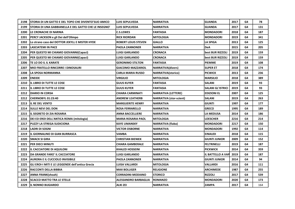| 2198 | STORIA DI UN GATTO E DEL TOPO CHE DIVENTO'SUO AMICO    | <b>LUIS SEPULVEDA</b>      | <b>NARRATIVA</b>               | <b>GUANDA</b>            | 2017 | G4 | 78  |
|------|--------------------------------------------------------|----------------------------|--------------------------------|--------------------------|------|----|-----|
| 2199 | ISTORIA DI UNA GABBIANELLA E DEL GATTO CHE LE INSEGNO' | <b>LUIS SEPULVEDA</b>      | <b>NARRATIVA</b>               | <b>GUANDA</b>            | 2017 | G4 | 131 |
| 2200 | <b>LE CRONACHE DI NARNIA</b>                           | <b>C.S.LEWES</b>           | <b>FANTASIA</b>                | <b>MONDADORI</b>         | 2018 | G4 | 187 |
| 2201 | PERCY JACKSON e gli Dei dell'Olimpo                    | <b>RICK RIORDAN</b>        | <b>MITOLOGIA</b>               | <b>MONDADORI</b>         | 2019 | G4 | 341 |
| 2202 | Lo strano caso del DOTTOR JEKYLL E MISTER HYDE         | <b>ROBERT LOUIS STEVEN</b> | <b>GIALLO</b>                  | <b>LA SPIGA</b>          | 2013 | G4 | 125 |
| 2203 | <b>LASCIATEMI IN PACE</b>                              | <b>PAOLA ZANNONER</b>      | <b>NARRATIVA</b>               | <b>DeA</b>               | 2015 | G4 | 205 |
| 2204 | PER QUESTO MI CHIAMO GIOVANNI(Capaci)                  | <b>LUIGI GARLANDO</b>      | <b>CRONACA</b>                 | best BUR RIZZOLI         | 2019 | G4 | 159 |
| 2205 | PER QUESTO MI CHIAMO GIOVANNI(Capaci)                  | LUIGI GARLANDO             | <b>CRONACA</b>                 | best BUR RIZZOLI         | 2019 | G4 | 159 |
| 2206 | TE LO DO IL IL KARATE                                  | <b>GERONIMO STILTON</b>    | <b>FANTASIA</b>                | <b>PIEMME</b>            | 2019 | G4 | 108 |
| 2207 | MIO FRATELLO RINCORRE I DINOSAURI                      | <b>GIACOMO MAZZARIOL</b>   | <b>NARRATIVA(divers)</b>       | <b>SUPER ET</b>          | 2018 | G4 | 174 |
| 2208 | LA SPOSA NORMANNA                                      | <b>CARLA MARIA RUSSO</b>   | <b>NARRATIVA(storico)</b>      | <b>PICWICK</b>           | 2013 | G4 | 236 |
| 2209 | <b>ENEIDE</b>                                          | <b>VIRGILIO</b>            | <b>MITOLOGIA</b>               | <b>MARSILIO</b>          | 2018 | G4 | 389 |
| 2210 | IIL LIBRO DI TUTTE LE COSE                             | <b>GUUS KUYER</b>          | <b>FANTASIA</b>                | <b>SALANI</b>            | 2019 | G4 | 93  |
| 2211 | <b>IL LIBRO DI TUTTE LE COSE</b>                       | <b>GUUS KUYER</b>          | <b>FANTASIA</b>                | <b>SALANI GL'ISTRICI</b> | 2019 | G4 | 93  |
| 2212 | <b>DIARIO IN CORSA</b>                                 | <b>CHIARA CARMINATI</b>    | <b>NARRATIVA (LETTERE)</b>     | <b>EDIZIONI EL</b>       | 2007 | G4 | 125 |
| 2212 | <b>CHERNOBYL 01:23:40</b>                              | ANDREW LEATHERB            | <b>NARRATIVA</b> (stor-scient) | <b>SALANI</b>            | 2019 | G4 | 263 |
| 2213 | <b>IL RE DEL VENTO</b>                                 | <b>MARGUERITE HENRY</b>    | <b>NARRATIVA</b>               | <b>GIUNTI</b>            | 1997 | G4 | 177 |
| 2214 | <b>SULLE NEVI DEL DON</b>                              | <b>ROSA FERRARELLO</b>     | <b>NARRATIVA</b>               | <b>GRECO</b>             | 1995 | G4 | 189 |
| 2215 | <b>IL SEGRETO DI ZIA ROSARIA</b>                       | <b>ANNA BACCELLIERE</b>    | <b>NARRATIVA</b>               | LA MEDUSA                | 2014 | G4 | 186 |
| 2216 | DEI ED EROI DELL'ANTICA ROMA (mitologia)               | <b>MARIA ROSARIA PAOL</b>  | <b>MITOLOGIA</b>               | <b>LOESCHER</b>          | 2216 | G4 | 214 |
| 2217 | PUZZY LA STREGA SUDICIONA                              | <b>KAYE UMANSKY</b>        | NARRATIVA (fiaba)              | <b>MONDADORI</b>         | 2217 | G4 | 150 |
| 2218 | <b>LADRI DI SOGNI</b>                                  | <b>VICTOR OSBORNE</b>      | <b>NARRATIVA</b>               | <b>MONDADORI</b>         | 1992 | G4 | 114 |
| 2219 | IL GIORNALINO DI GIAN BURRASCA                         | <b>VAMBA</b>               | <b>NARRATIVA</b>               | <b>EINAUDI</b>           | 2018 | G4 | 115 |
| 2220 | <b>SMACK SI GIRA</b>                                   | <b>CHRISTIAN BIENIEK</b>   | <b>NARRATIVA</b>               | <b>GIUNTI JUNIOR</b>     | 2009 | G4 | 152 |
| 2221 | lper dieci minuti                                      | <b>CHIARA GAMBERALE</b>    | <b>NARRATIVA</b>               | <b>FELTRINELLI</b>       | 2019 | G4 | 187 |
| 2222 | <b>IL CACCIATORE DI AQUILONI</b>                       | <b>KHALED HOSSEINI</b>     | <b>NARRATIVA</b>               | <b>PICKWICK</b>          | 2014 | G4 | 359 |
| 2223 | DA GRANDE FARO' IL CACCIATORE                          | <b>LUIGI GARLANDO</b>      | <b>NARRATIVA</b>               | <b>IL BATTELLO A VAP</b> | 2019 | G4 | 187 |
| 2224 | AURORA E IL CUCCIOLO INVISIBILE                        | <b>PAOLA ZANNONER</b>      | <b>NARRATIVA</b>               | <b>GIUNTI JUNIOR</b>     | 2014 | G4 | 94  |
| 2225 | GLI EROI-I MITI E LE LEGGENDE dell'antica Grecia       | <b>LUISA VALLARDI</b>      | <b>MITOLOGIA</b>               | <b>VALLARDI</b>          | 2016 | G4 | 111 |
| 2226 | RACCONTI DELLA BIBBIA                                  | <b>MAX BOLLIGER</b>        | <b>RELIGIONE</b>               | <b>ARCHIMEDE</b>         | 1987 | G4 | 255 |
| 2227 | <b>ANNA FRANK</b> (shoah)                              | CORRADINI-MODIANO          | <b>STORICO</b>                 | <b>RIZZOLI</b>           | 2017 | G4 | 539 |
| 2228 | <b>SCACCO MATTO TRA LE STELLE</b>                      | ALESSANDRO BARBAGLIA       | <b>ROMANZO</b>                 | <b>MONDADORI</b>         | 2020 | G4 | 173 |
| 2229 | <b>IL NONNO BUGIARDO</b>                               | <b>ALKI ZEI</b>            | <b>NARRATIVA</b>               | <b>ZAMPA</b>             | 2017 | G4 | 164 |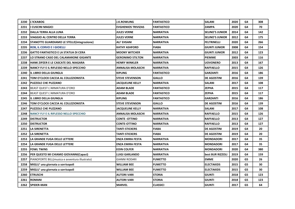| 2230 | <b>L'ICKABOG</b>                                   | <b>J.K.ROWLING</b>        | <b>FANTASTICO</b> | <b>SALANI</b>          | 2020 | G4 | 308 |
|------|----------------------------------------------------|---------------------------|-------------------|------------------------|------|----|-----|
| 2231 | lı CUSCINI MAGICI                                  | <b>EVGHENIOS TRIVIZAS</b> | <b>FANTASTICO</b> | <b>ZAMPA</b>           | 2020 | G4 | 70  |
| 2232 | DALLA TERRA ALLA LUNA                              | <b>JULES VERNE</b>        | <b>NARRATIVA</b>  | <b>SELINO'S JUNIOR</b> | 2014 | G4 | 142 |
| 2233 | <b>VIAGGIO AL CENTRO DELLA TERRA</b>               | <b>JULES VERNE</b>        | <b>NARRATIVA</b>  | <b>SELINO'S JUNIOR</b> | 2012 | G4 | 175 |
| 2234 | <b>STANOTTE GUARDIAMO LE STELLE (integrazione)</b> | ALI' EHSANI               | <b>NARRATIVA</b>  | <b>FELTRINELLI</b>     | 2020 | G4 | 266 |
| 2235 | <b>ROB, IL CORVO E I GIOIELLI</b>                  | <b>KATHY ASHFORD</b>      | <b>FIABA</b>      | <b>GIUNTI JUNIOR</b>   | 2008 | G4 | 154 |
| 2236 | GATTO FANTASTICO E LA STATUA DI CERA               | <b>MOONY WITCHER</b>      | <b>NARRATIVA</b>  | <b>GIUNTI JUNIOR</b>   | 2012 | G4 | 123 |
| 2237 | LO STRANO CASO DEL CALAMARONE GIGANTE              | <b>GERONIMO STILTON</b>   | <b>NARRATIVA</b>  | <b>PIEMME</b>          | 2003 | G4 | 116 |
| 2238 | HANK ZIPZER E LE CASCATE DEL NIAGARA               | <b>HENRY WINKLER</b>      | <b>NARRATIVA</b>  | <b>UOVONERO</b>        | 2013 | G4 | 167 |
| 2239 | NANCY FLY E IL RIFLESSO NELLO SPECCHIO             | ANNALISA MOLASCHI         | <b>NARRATIVA</b>  | <b>RAFFAELLO</b>       | 2015 | G4 | 126 |
| 2240 | IL LIBRO DELLA GIUNGLA                             | <b>KIPLING</b>            | <b>FANTASTICO</b> | <b>GARZANTI</b>        | 2016 | G4 | 186 |
| 2241 | TOM O'CLOCK CACCIA AL COLLEZIONISTA                | <b>STEVE STEVENSON</b>    | <b>GIALLO</b>     | <b>DE AGOSTINI</b>     | 2016 | G4 | 139 |
| 2242 | <b>PUZZOLE CHE PUZZANO</b>                         | JACQUELINE KELLY          | <b>NARRATIVA</b>  | <b>SALANI</b>          | 2017 | G4 | 108 |
| 2243 | lbeast QUEST L'ARMATURA D'ORO                      | <b>ADAM BLADE</b>         | <b>FANTASTICO</b> | <b>ZEPHA</b>           | 2015 | G4 | 117 |
| 2244 | BEAST QUEST L'ARMATURA D'ORO                       | <b>ADAM BLADE</b>         | <b>FANTASTICO</b> | <b>ZEPHA</b>           | 2015 | G4 | 117 |
| 2245 | IIL LIBRO DELLA GIUNGLA                            | <b>KIPLING</b>            | <b>FANTASTICO</b> | <b>GARZANTI</b>        | 2016 | G4 | 186 |
| 2246 | TOM O'CLOCK CACCIA AL COLLEZIONISTA                | <b>STEVE STEVENSON</b>    | <b>GIALLO</b>     | <b>DE AGOSTINI</b>     | 2016 | G4 | 139 |
| 2247 | <b>PUZZOLE CHE PUZZANO</b>                         | <b>JACQUELINE KELLY</b>   | <b>NARRATIVA</b>  | <b>SALANI</b>          | 2017 | G4 | 108 |
| 2248 | <b>NANCY FLY E IL RIFLESSO NELLO SPECCHIO</b>      | ANNALISA MOLASCHI         | <b>NARRATIVA</b>  | <b>RAFFAELLO</b>       | 2015 | G4 | 126 |
| 2249 | <b>DISTRUCTOR</b>                                  | <b>CONTE-OTTINO</b>       | <b>NARRATIVA</b>  | <b>RAFFAELLO</b>       | 2013 | G4 | 127 |
| 2250 | <b>DISTRUCTOR</b>                                  | <b>CONTE-OTTINO</b>       | <b>NARRATIVA</b>  | <b>RAFFAELLO</b>       | 2013 | G4 | 127 |
| 2251 | <b>LA SIRENETTA</b>                                | <b>TANTI STICKERS</b>     | <b>FIABA</b>      | <b>DE AGOSTINI</b>     | 2019 | G4 | 20  |
| 2252 | LA SIRENETTA                                       | TANTI STICKERS            | <b>FIABA</b>      | <b>DE AGOSTINI</b>     | 2019 | G4 | 20  |
| 2253 | lla GRANDE FUGA DELLE LETTERE                      | <b>ENZA EMIRA FESTA</b>   | <b>NARRATIVA</b>  | <b>MONDADORI</b>       | 2017 | G4 | 35  |
| 2254 | LA GRANDE FUGA DELLE LETTERE                       | <b>ENZA EMIRA FESTA</b>   | <b>NARRATIVA</b>  | <b>MONDADORI</b>       | 2017 | G4 | 35  |
| 2255 | <b>FOWL TWINS</b>                                  | <b>EOIN COLFER</b>        | <b>NARRATIVA</b>  | <b>MONDADORI</b>       | 2020 | G4 | 380 |
| 2256 | PER QUESTO MI CHIAMO GIOVANNI(Capaci)              | <b>LUIGI GARLANDO</b>     | <b>NARRATIVA</b>  | best BUR RIZZOLI       | 2019 | G4 | 159 |
| 2257 | PIANOFORTE BILL(musica e avventura illustrato)     | <b>GIANNI RODARI</b>      | <b>FUMETTO</b>    | <b>EMME</b>            | 2020 | G5 | 26  |
| 2258 | MIGLU' una giornata a sorrisopoli                  | <b>WILLIAM BEE</b>        | <b>FUMETTO</b>    | <b>ELECTAKIDS</b>      | 2015 | G5 | 30  |
| 2259 | MIGLU' una giornata a sorrisopoli                  | <b>WILLIAM BEE</b>        | <b>FUMETTO</b>    | <b>ELECTAKIDS</b>      | 2015 | G5 | 30  |
| 2260 | <b>ETRUSCHI</b>                                    | AUTORI VARI               | <b>STORIA</b>     | <b>GIUNTI</b>          | 2018 | G5 | 123 |
| 2261 | <b>ROMANI</b>                                      | AUTORI VARI               | <b>STORIA</b>     | <b>GIUNTI</b>          | 2018 | G5 | 123 |
| 2262 | <b>SPIDER-MAN</b>                                  | <b>MARVEL</b>             | <b>CLASSICI</b>   | <b>GIUNTI</b>          | 2017 | G5 | 64  |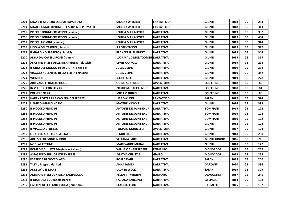| 2263 | NINA E IL MISTERO DELL'OTTAVA NOTA          | <b>IMOONY WITCHER</b>         | <b>FANTASTICO</b> | GIUNTI               | 2018 | G5 | 283 |
|------|---------------------------------------------|-------------------------------|-------------------|----------------------|------|----|-----|
| 2264 | NINAE LA MALEDIZIONE DEL SERPENTE PIUMATO   | <b>MOONY WITCHER</b>          | <b>FANTASTICO</b> | <b>GIUNTI</b>        | 2018 | G5 | 313 |
| 2265 | PICCOLE DONNE CRESCONO (classici)           | LOUISA MAY ALCOTT             | <b>NARRATIVA</b>  | <b>GIUNTI</b>        | 2019 | G5 | 382 |
| 2266 | PICCOLE DONNE CRESCONO (classici)           | LOUISA MAY ALCOTT             | <b>NARRATIVA</b>  | GIUNTI               | 2019 | G5 | 404 |
| 2267 | PICCOLI UOMINI ( classici)                  | LOUISA MAY ALCOTT             | <b>NARRATIVA</b>  | GIUNTI               | 2019 | G5 | 344 |
| 2268 | L'ISOLA DEL TESORO (classici)               | <b>R.L.STEVENSON</b>          | <b>NARRATIVA</b>  | GIUNTI               | 2019 | G5 | 312 |
| 2269 | IL GIARDINO SEGRETO (classici)              | <b>FRANCES H. BURNETT</b>     | <b>NARRATIVA</b>  | <b>GIUNTI</b>        | 2019 | G5 | 344 |
| 2270 | ANNA DAI CAPELLI ROSSI ( classici)          | LUCY MAUD MONTGOMER NARRATIVA |                   | GIUNTI               | 2019 | G5 | 317 |
| 2271 | ALICE NEL PAESE DELLE MERAVIGLIE (classici) | <b>LEWIS CARROLL</b>          | <b>NARRATIVA</b>  | GIUNTI               | 2019 | G5 | 298 |
| 2272 | IL GIRO DEL MONDO IN 80 GIORNI ( classici)  | <b>JULES VERNE</b>            | <b>NARRATIVA</b>  | GIUNTI               | 2019 | G5 | 332 |
| 2273 | VIAGGIO AL CENTRO DELLA TERRA ( classici)   | <b>JULES VERNE</b>            | <b>NARRATIVA</b>  | <b>GIUNTI</b>        | 2019 | G5 | 342 |
| 2274 | <b>WONDER</b>                               | <b>R.J.PALACIO</b>            | <b>NARRATIVA</b>  | GIUNTI               | 2019 | G5 | 278 |
| 2275 | <b>ARRIVANO I FRATELLI HOOD</b>             | <b>GUIDO SGARDOLI</b>         | <b>AVVENTURA</b>  | <b>SOLFERINO</b>     | 2018 | G5 | 80  |
| 2276 | IIN VIAGGIO CON LO ZAR                      | PIERDOM. BACCALARIO           | <b>NARRATIVA</b>  | <b>SOLFERINO</b>     | 2018 | G5 | 81  |
| 2277 | <b>POLVERE NERA</b>                         | <b>MIRIAM DUBINI</b>          | <b>NARRATIVA</b>  | <b>SOLFERINO</b>     | 2018 | G5 | 86  |
| 2278 | HARRY POTTER E LA CAMERA DEI SEGRETI        | J.K.ROWLING                   | <b>FANTASTICO</b> | SALANI               | 2019 | G5 | 324 |
| 2279 | <b>L'AMICO IMMAGINARIO</b>                  | <b>MATTHEW DICKS</b>          | <b>NARRATIVA</b>  | <b>GIUNTI</b>        | 2014 | G5 | 393 |
| 2280 | <b>IL PICCOLO PRINCIPE</b>                  | <b>ANTOINE DE SAINT-EXUP</b>  | <b>NARRATIVA</b>  | <b>BOMPIANI</b>      | 2019 | G5 | 122 |
| 2281 | <b>IL PICCOLO PRINCIPE</b>                  | <b>ANTOINE DE SAINT-EXUP</b>  | <b>NARRATIVA</b>  | <b>BOMPIANI</b>      | 2019 | G5 | 122 |
| 2282 | <b>IL PICCOLO PRINCIPE</b>                  | <b>ANTOINE DE SAINT-EXUP</b>  | <b>NARRATIVA</b>  | <b>BOMPIANI</b>      | 2019 | G5 | 122 |
| 2283 | <b>IL PICCOLO PRINCIPE</b>                  | <b>ANTOINE DE SAINT-EXUP</b>  | <b>NARRATIVA</b>  | <b>GIUNTI</b>        | 2018 | G5 | 122 |
| 2284 | IIL VIAGGIO DI ULISSE                       | TOMASO MONICELLI              | <b>AVVENTURA</b>  | <b>GIUNTI</b>        | 2017 | G5 | 123 |
| 2285 | <b>QUATTRO SORELLE SCATENATE</b>            | <b>H.MUELLER</b>              | <b>NARRATIVA</b>  | <b>GIUNTI</b>        | 2018 | G5 | 280 |
| 2286 | <b>ADESSO CHE SONO BUONO</b>                | <b>STEFANIA FABRI</b>         | <b>NARRATIVA</b>  | <b>GIUNTI JUNIOR</b> | 2016 | G5 | 95  |
| 2287 | <b>NODI AL PETTINE</b>                      | <b>MARIE-AUDE MURAIL</b>      | <b>NARRATIVA</b>  | <b>GIUNTI</b>        | 2018 | G5 | 172 |
| 2288 | ROMEO E GIULIETTA(inglese e italiano)       | <b>WILLIAM SHAKESPEARE</b>    | <b>ROMANZO</b>    | <b>MONDADORI</b>     | 2017 | G5 | 257 |
| 2289 | <b>ASSASSINIO SULL'ORIENT EXPRESS</b>       | <b>AGATHA CHRISTIE</b>        | <b>GIALLO</b>     | <b>MONDADORI</b>     | 2019 | G5 | 278 |
| 2290 | <b>FABBRICA DI CIOCCOLATO</b>               | <b>ROALD DAHL</b>             | <b>NARRATIVA</b>  | SALANI               | 2019 | G5 | 200 |
| 2291 | TILLY e i segreti dei libri                 | <b>ANNA JAMES</b>             | <b>NARRATIVA</b>  | <b>GARZANTI</b>      | 2020 | G5 | 386 |
| 2292 | AL DI LA' DEL MARE                          | <b>LAUREN WOLK</b>            | <b>NARRATIVA</b>  | SALANI               | 2019 | G5 | 309 |
| 2293 | <b>AMMARE-VIENI CON ME A LAMPEDUSA</b>      | PELLAI-TAMBORINI              | <b>ROMANZO</b>    | <b>DEAGOSTINI</b>    | 2017 | G5 | 245 |
| 2294 | IL DIARIO DI EDO (adolescenza)              | <b>FABIANA SARCUNO</b>        | <b>NARRATIVA</b>  | <b>LA SPIGA</b>      | 2014 | G5 | 158 |
| 2295 | I GIORNI DELLA TARTARUGA (bullismo)         | <b>CLAUDIO ELLIOT</b>         | <b>NARRATIVA</b>  | <b>RAFFAELLO</b>     | 2015 | G5 | 162 |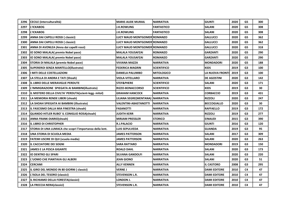| 2296 | CECILE (interculturalità)                                | <b>MARIE-AUDE MURAIL</b>     | <b>NARRATIVA</b>   | <b>GIUNTI</b>       | 2020 | G5             | 300 |
|------|----------------------------------------------------------|------------------------------|--------------------|---------------------|------|----------------|-----|
| 2297 | <b>IL'ICKABOG</b>                                        | <b>J.K.ROWLING</b>           | <b>FANTASTICO</b>  | <b>SALANI</b>       | 2020 | G5             | 308 |
| 2298 | <b>L'ICKABOG</b>                                         | <b>J.K.ROWLING</b>           | <b>FANTASTICO</b>  | SALANI              | 2020 | G5             | 308 |
| 2299 | <b>ANNA DAI CAPELLI ROSSI ( classici)</b>                | LUCY MAUD MONTGOMER ROMANZO  |                    | <b>GALLUCCI</b>     | 2020 | G5             | 362 |
| 2300 | ANNA DAI CAPELLI ROSSI ( classici)                       | LUCY MAUD MONTGOMER ROMANZO  |                    | <b>GALLUCCI</b>     | 2020 | G5             | 362 |
| 2301 | ANNA DI AVONLEA (Anna dai capelli rossi)                 | LUCY MAUD MONTGOMER ROMANZO  |                    | <b>GALLUCCI</b>     | 2020 | G5             | 318 |
| 2302 | IO SONO MALALA( premio Nobel pace)                       | <b>MALALA YOUSAFZAI</b>      | <b>ROMANZO</b>     | <b>GARZANTI</b>     | 2020 | G5             | 290 |
| 2303 | IO SONO MALALA( premio Nobel pace)                       | <b>MALALA YOUSAFZAI</b>      | <b>ROMANZO</b>     | GARZANTI            | 2020 | G5             | 290 |
| 2304 | STORIA DI MALALA (premio Nobel pace)                     | VIVIANA MAZZA                | NARRATIVA          | <b>MONDADORI</b>    | 2020 | G5             | 188 |
| 2305 | SUPEREROI SENZA MANTELLO(illustrato)                     | <b>FEDERICA MAGRIN</b>       | <b>SCIENTIFICO</b> | KIDS                | 2019 | G3             | 100 |
| 2306 | I MITI DELLE COSTELLAZIONI                               | <b>DANIELA PALUMBO</b>       | <b>MITOLOGICO</b>  | LA NUOVA FRONTI     | 2019 | G <sub>3</sub> | 100 |
| 2307 | LA STELLA DI ANDRA E TATI (Shoah)                        | <b>VIOLA-VITELLARO</b>       | <b>NARRATIVA</b>   | <b>DE AGOSTINI</b>  | 2020 | G3             | 142 |
| 2308 | IL LIBRO DELLE MERAVIGLIE PERDUTE                        | <b>STEF&amp;PHERE</b>        | <b>SCIENTIFICO</b> | SALANI              | 2020 | G3             | 171 |
| 2309 | L'IMMIGRAZIONE SPIEGATA AI BAMBINI(illustrato)           | <b>RIZZO-BONACCORSO</b>      | <b>SCIENTIFICO</b> | <b>KIDS</b>         | 2019 | G3             | 30  |
| 2310 | IL MISTERO DELLA CIVILTA' PERDUTA(scient-legg- mitol)    | <b>GRAHAM HANCOCK</b>        | <b>NARRATIVA</b>   | <b>CORBACCIO</b>    | 2019 | G3             | 431 |
| 2311 | LA MEMORIA RENDE LIBERI (shoah)                          | LILIANA SEGRE(MENTANA)       | <b>NARRATIVA</b>   | <b>RIZZOLI</b>      | 2020 | G3             | 247 |
| 2312 | LA SHOAH SPIEGATA AI BAMBINI (illustrato)                | <b>VALENTINI-ABASTANOTTI</b> | <b>NARRATIVA</b>   | <b>BECCOGIALLO</b>  | 2020 | G3             | 30  |
| 2313 | IL FASCISMO DALLA MIA FINESTRA (shoah)                   | <b>FASANOTTI</b>             | <b>NARRATIVA</b>   | <b>RAFFAELLO</b>    | 2019 | G3             | 172 |
| 2314 | QUANDO HITLER RUBO' IL CONIGLIO ROSA(shoah)              | JUDITH KERR                  | <b>NARRATIVA</b>   | <b>RIZZOLI</b>      | 2019 | G3             | 277 |
| 2315 | ANNA FRANK-DIARIO(shoah)                                 | <b>MIRJAM PRESSLER</b>       | <b>STORICO</b>     | <b>EINAUDI</b>      | 2015 | G3             | 390 |
| 2316 | IL LIBRO DI CHRISTOPHER                                  | <b>R.J.PALACIO</b>           | <b>NARRATIVA</b>   | GIUNTI              | 2016 | G3             | 120 |
| 2317 | STORIA DI UNA LUMACA che scopri l'importanza della lent. | LUIS SEPULVEDA               | <b>NARRATIVA</b>   | <b>GUANDA</b>       | 2019 | G3             | 95  |
| 2318 | UNA STORIA DI SCUOLA MEDIA                               | <b>JAMES PATTERSON</b>       | <b>NARRATIVA</b>   | SALANI              | 2017 | G3             | 309 |
| 2319 | FATEMI USCIRE DI QUI (scuola media)                      | JAMES PATTERSON              | <b>NARRATIVA</b>   | SALANI              | 2020 | G3             | 263 |
| 2320 | IIL CACCIATORE DEI SOGNI                                 | <b>SARA RATTARO</b>          | <b>NARRATIVA</b>   | <b>MONDADORI</b>    | 2019 | G3             | 150 |
| 2321 | JAMES E LA PESCA GIGANTE                                 | <b>ROALD DAHL</b>            | <b>NARRATIVA</b>   | SALANI              | 2020 | G3             | 173 |
| 2322 | IO DENTRO GLI SPARI                                      | <b>SILVANA GANDOLFI</b>      | NARRATIVA          | SALANI              | 2020 | G3             | 220 |
| 2323 | L'UOMO CHE PIANTAVA GLI ALBERI                           | <b>JEAN GIONO</b>            | NARRATIVA          | SALANI              | 2020 | G3             | 51  |
| 2324 | <b>CERCAMI</b>                                           | <b>ALLY KENNEN</b>           | <b>NARRATIVA</b>   | <b>IL CASTORO</b>   | 2008 | G3             | 295 |
| 2325 | IL GIRO DEL MONDO IN 80 GIORNI ( classici)               | <b>VERNE J</b>               | <b>NARRATIVA</b>   | <b>DAMI EDITORE</b> | 2010 | C <sub>4</sub> | 47  |
| 2326 | L'ISOLA DEL TESORO (classici)                            | <b>STEVENSON L.R.</b>        | NARRATIVA          | <b>DAMI EDITORE</b> | 2010 | C <sub>4</sub> | 47  |
| 2327 | IL RICHIAMO DELLA FORESTA(classici)                      | LONDON J.                    | <b>NARRATIVA</b>   | DAMI EDITORE        | 2010 | C4             | 47  |
| 2328 | LA FRECCIA NERA(classici)                                | <b>STEVENSON L.R.</b>        | <b>NARRATIVA</b>   | <b>DAMI EDITORE</b> | 2010 | C <sub>4</sub> | 47  |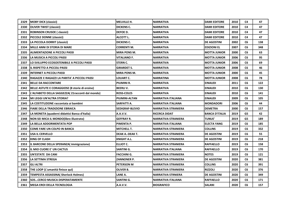| 2329 | MOBY DICK (classici)                             | <b>MELVILLE H.</b>     | NARRATIVA                  | <b>DAMI EDITORE</b>   | 2010 | C4             | 47  |
|------|--------------------------------------------------|------------------------|----------------------------|-----------------------|------|----------------|-----|
| 2330 | <b>OLIVER TWIST (classici)</b>                   | <b>DICKENS C.</b>      | <b>NARRATIVA</b>           | <b>DAMI EDITORE</b>   | 2010 | C <sub>4</sub> | 47  |
| 2331 | <b>ROBINSON CRUSOE (classici)</b>                | DEFOE D.               | <b>NARRATIVA</b>           | <b>DAMI EDITORE</b>   | 2010 | C4             | 47  |
| 2332 | PICCOLE DONNE (classici)                         | ALCOTT L.              | NARRATIVA                  | <b>DAMI EDITORE</b>   | 2010 | C <sub>4</sub> | 47  |
| 2333 | LA PICCOLA DORRIT (classici)                     | <b>DICKENS C.</b>      | NARRATIVA                  | <b>DE AGOSTINI</b>    | 2002 | C6             | 138 |
| 2334 | MILLE ANNI DI STORIA DI MARE                     | <b>CORRENTI M.</b>     | <b>NARRATIVA</b>           | <b>EDIZIONI EL</b>    | 2007 | C <sub>6</sub> | 348 |
| 2335 | ALIMENTAZIONE A PICCOLI PASSI                    | <b>MIRA PONS M.</b>    | <b>NARRATIVA</b>           | <b>MOTTA JUNIOR</b>   | 2000 | C <sub>6</sub> | 63  |
| 2336 | LA MUSICA A PICCOLI PASSI                        | VITALIANO F.           | NARRATIVA                  | MOTTA JUNIOR          | 2006 | C6             | 95  |
| 2337 | LO SVILUPPO ECOSOSTENIBILE A PICCOLI PASSI       | <b>STERN C.</b>        | <b>NARRATIVA</b>           | <b>MOTTA JUNIOR</b>   | 2006 | C <sub>6</sub> | 69  |
| 2338 | IL RISPETTO A PICCOLI PASSI                      | <b>GIRARDET S.</b>     | NARRATIVA                  | <b>MOTTA JUNIOR</b>   | 2008 | C6             | 46  |
| 2339 | <b>INTERNET A PICCOLI PASSI</b>                  | <b>MIRA PONS M.</b>    | <b>NARRATIVA</b>           | <b>MOTTA JUNIOR</b>   | 2000 | C <sub>6</sub> | 45  |
| 2340 | RAGAZZE E RAGAZZI LA PARITA' A PICCOLI PASSI     | LOUART C.              | NARRATINA                  | MOTTA JUNIOR          | 2008 | C <sub>6</sub> | 78  |
| 2341 | <b>BELLE DA RACCONTARE</b>                       | PIUMINI R.             | <b>NARRATIVA</b>           | <b>EINAUDI</b>        | 2011 | C <sub>6</sub> | 122 |
| 2342 | BELLE ASTUTE E CORAGGIOSE (8 storie di eroine)   | <b>BEERLIV.</b>        | <b>NARRATIVA</b>           | <b>EINAUDI</b>        | 2010 | C <sub>6</sub> | 130 |
| 2343 | L'ALFABETO DELLA SAGGEZZA(21 racconti dal mondo) | <b>ROSS-COLES</b>      | <b>NARRATIVA</b>           | <b>EINAUDI</b>        | 2010 | C <sub>6</sub> | 141 |
| 2344 | <b>MI LEGGI UN'ALTRA STORIA?</b>                 | PIUMINI-ALTAN          | NARRATIVA ITALIANA         | <b>EINAUDI</b>        | 2009 | C6             | 105 |
| 2345 | LA COSTITUZIONE raccontata ai bambini            | SARFATTI A.            | <b>NARRATIVA ITALIANA</b>  | <b>MONDADORI</b>      | 2006 | C <sub>6</sub> | 44  |
| 2346 | <b>FIABE DELLA TRADIZIONE EBRAICA</b>            | <b>SEDIGRAF-BLEVIO</b> | <b>NARRATIVA STRANIERA</b> | <b>DEMETRA</b>        | 2000 | C <sub>6</sub> | 157 |
| 2347 | LA MONETA (quaderni didattici Banca d'Italia)    | <b>A.A.V.V.</b>        | <b>RICERCA DIDAT</b>       | <b>BANCA D'ITALIA</b> | 2019 | G5             | 42  |
| 2348 | NON SEI MICA IL MONDO(libro illustrato)          | <b>GEFFRAY R.</b>      | <b>NARRATIVA STRANIERA</b> | <b>TUNUE'</b>         | 2019 | G5             | 189 |
| 2349 | LA BELLA ADDORMENTATA POP                        | <b>IPIMENTA P.</b>     | <b>NARRATIVA ITALIANA</b>  | <b>ELECTA YANG</b>    | 2019 | C <sub>6</sub> | 185 |
| 2350 | COME FARE UN COLPO IN BANCA                      | <b>MITCHELL T.</b>     | <b>NARRATIVA STRANIERA</b> | <b>COLLINS</b>        | 2019 | C <sub>6</sub> | 332 |
| 2351 | <b>USA IL CERVELLO</b>                           | <b>DEAK A.-DEAK T.</b> | NARRATIVA STRANIERA        | <b>DE AGOSTINI</b>    | 2019 | C <sub>6</sub> | 55  |
| 2352 | <b>KING OF CLASH</b>                             | <b>KNIGHT A.L.</b>     | NARRATIVA STRANIERA        | <b>DE AGOSTINI</b>    | 2019 | C <sub>6</sub> | 218 |
| 2353 | IL BARCONE DELLA SPERANZA(immigrazione)          | <b>IELLIOT C.</b>      | <b>NARRATIVA STRANIERA</b> | <b>RAFFAELLO</b>      | 2019 | C <sub>6</sub> | 158 |
| 2354 | <b>IIL MIO CUORE E' UN CACTUS</b>                | <b>SANTINI G.</b>      | NARRATIVA ITALIANA         | <b>RAFFAELLO</b>      | 2019 | C6             | 170 |
| 2355 | UN'ESTATE DA CANI                                | <b>FACCHINI G.</b>     | <b>NARRATIVA STRANIERA</b> | <b>NOTES</b>          | 2019 | C <sub>6</sub> | 121 |
| 2356 | LA SETTIMA STREGA                                | <b>ZANNONER P.</b>     | <b>NARRATIVA STRANIERA</b> | <b>DE AGOSTINI</b>    | 2020 | C6             | 381 |
| 2357 | <b>GLI ALTRI</b>                                 | <b>PETERSON M</b>      | <b>NARRATIVA STRANIERA</b> | <b>COLLINS</b>        | 2020 | C <sub>6</sub> | 391 |
| 2358 | THE LOOP (L'umanità finisce qui)                 | <b>OLIVER B.</b>       | <b>NARRATIVA STRANIERA</b> | <b>RIZZOLI</b>        | 2020 | C <sub>6</sub> | 376 |
| 2359 | TEMPESTA ASSASSINA( Sherlock Holmes)             | LANE A.                | NARRATIVA STRNIERA         | <b>DE AGOSTINI</b>    | 2020 | C <sub>6</sub> | 349 |
| 2360 | <b>SOSCERCO MUSICA DISPERATAMENTE</b>            | <b>SANTINI G.</b>      | NARRATIVA ITALIANA         | <b>RAFFAELLO</b>      | 2020 | C <sub>6</sub> | 171 |
| 2361 | <b>IMEGA EROI DELLA TECNOLOGIA</b>               | A.A.V.V.               | <b>BIOGRAFICO</b>          | <b>SALANI</b>         | 2020 | C <sub>6</sub> | 157 |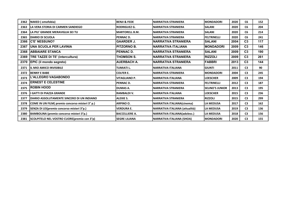| 2362 | NAKED (omofobia)                                              | IBENJI & FEDE         | <b>NARRATIVA STRANIERA</b>       | <b>MONDADORI</b>       | 2020 | C <sub>6</sub> | 152 |
|------|---------------------------------------------------------------|-----------------------|----------------------------------|------------------------|------|----------------|-----|
| 2363 | LA VERA STORIA DI CARMEN SANDIEGO                             | <b>RODRIGUEZ G.</b>   | INARRATIVA STRANIERA             | <b>SALANI</b>          | 2020 | C <sub>6</sub> | 204 |
| 2364 | <b>ILA PIU' GRANDE MERAVIGLIA SEI TU</b>                      | <b>MARTORELL B.M.</b> | INARRATIVA STRANIERA             | ISALANI                | 2020 | C6             | 214 |
| 2365 | <b>IDIARIO DI SCUOLA</b>                                      | <b>PENNAC D.</b>      | INARRATIVA STRANIERA             | <b>FELTRINELLI</b>     | 2020 | C <sub>6</sub> | 241 |
| 2366 | <b>IC'E' NESSUNO?</b>                                         | <b>GAARDER J.</b>     | <b>NARRATIVA STRANIERA</b>       | <b>SALANI</b>          | 2004 | C <sub>3</sub> | 117 |
| 2367 | <b>IUNA SCUOLA PER LAVINIA</b>                                | <b>PITZORNO B.</b>    | <b>NARRATIVA ITALIANA</b>        | <b>MONDADORI</b>       | 2009 | C <sub>3</sub> | 146 |
| 2368 | <b>ABBAIARE STANCA</b>                                        | <b>IPENNAC D.</b>     | <b>INARRATIVA STRANIERA</b>      | <b>SALANI</b>          | 2009 | C <sub>3</sub> | 190 |
| 2369 | TRE TAZZE DI TE' (intercultura)                               | THOMSON S.            | <b>NARRATIVA STRANIERA</b>       | <b>RIZZOLI</b>         | 2009 | C <sub>3</sub> | 261 |
| 2370 | <b>EPIC (il mondo segreto)</b>                                | <b>AUERBACH A.</b>    | INARRATIVA STRANIERA             | FABBRI                 | 2013 | C <sub>3</sub> | 144 |
| 2371 | <b>IIL MIO AMICO INVISIBILE</b>                               | <b>TUMIATI L.</b>     | NARRATIVA ITALIANA               | <b>GIUNTI</b>          | 2011 | C <sub>3</sub> | 90  |
| 2372 | <b>BENNY E BABE</b>                                           | <b>COLFER E.</b>      | <b>NARRATIVA STRANIERA</b>       | <b>MONDADORI</b>       | 2004 | C <sub>3</sub> | 245 |
| 2373 | <b>L'ALLEGRO VAGABONDO</b>                                    | <b>VITAGLIANO P.</b>  | NARRATIVA ITALIANA               | <b>LOESCHER</b>        | 2009 | C <sub>3</sub> | 194 |
| 2374 | <b>IERNEST E CELESTINE</b>                                    | <b>PENNAC D.</b>      | INARRATIVA STRANIERA             | <b>FELTRINELLI</b>     | 2012 | C <sub>3</sub> | 187 |
| 2375 | <b>ROBIN HOOD</b>                                             | <b>DUMAS A.</b>       | INARRATIVA STRANIERA             | <b>SELINO'S JUNIOR</b> | 2013 | C <sub>3</sub> | 195 |
| 2376 | <b>I GATTI DI PIAZZA GRANDE</b>                               | <b>RAMBALDI V.</b>    | NARRATIVA ITALIANA               | <b>LOESCHER</b>        | 2015 | C <sub>3</sub> | 236 |
| 2377 | <b>IDIARIO ASSOLUTAMENTE SINCERO DI UN INDIANO</b>            | <b>ALEXIE S.</b>      | <b>NARRATIVA STRANIERA</b>       | <b>RIZZOLI</b>         | 2015 | C <sub>3</sub> | 299 |
| 2378 | COME IN UN FILM( premio concorso misteri 3° p.)               | <b>ARPINO O.</b>      | NARRATIVA ITALIANA(cinema)       | <b>LA MEDUSA</b>       | 2017 | C <sub>3</sub> | 162 |
| 2379 | SENZA DI LEI (premio concorso misteri 3°p.)                   | <b>VERDURA E.</b>     | NARRATIVA ITALIANA (attualità)   | <b>LA MEDUSA</b>       | 2019 | C <sub>3</sub> | 136 |
| 2380 | BAMBOLINA (premio concorso misteri 3°p.)                      | <b>BACCELLIERE A.</b> | NARRATIVA ITALIANA(adolesc.)     | <b>ILA MEDUSA</b>      | 2018 | C <sub>3</sub> | 156 |
|      | 2381 SCOLPITELO NEL VOSTRO CUORE(premio con 3 <sup>°</sup> p) | <b>SEGRE LILIANA</b>  | <b>NARRATIVA ITALIANA (SHOA)</b> | IMONDADORI             | 2020 | C <sub>3</sub> | 155 |